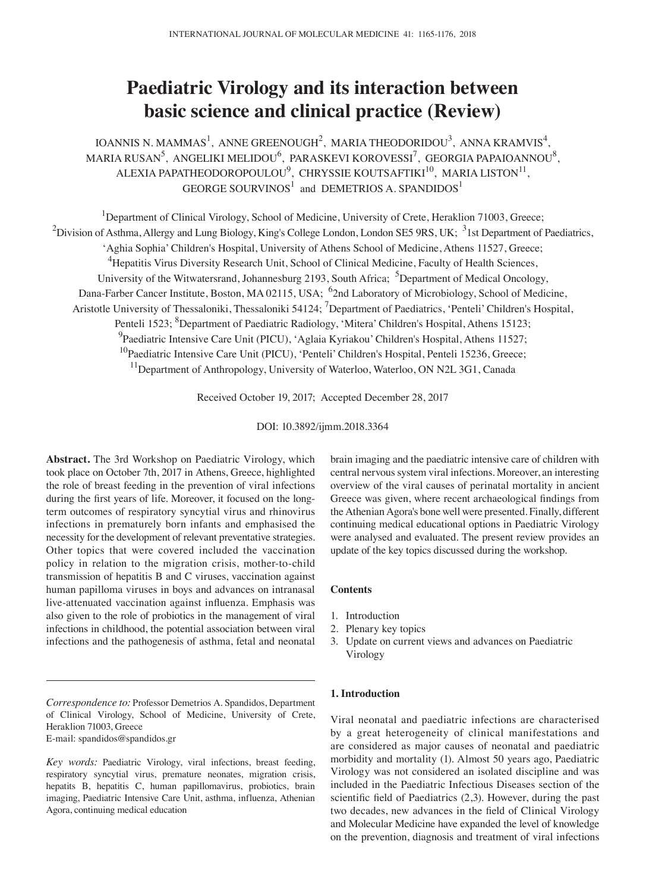# **Paediatric Virology and its interaction between basic science and clinical practice (Review)**

IOANNIS N. MAMMAS<sup>1</sup>, ANNE GREENOUGH<sup>2</sup>, MARIA THEODORIDOU<sup>3</sup>, ANNA KRAMVIS<sup>4</sup>, MARIA RUSAN $^5$ , ANGELIKI MELIDOU $^6$ , PARASKEVI KOROVESSI $^7$ , GEORGIA PAPAIOANNOU $^8$ , ALEXIA PAPATHEODOROPOULOU $^9$ , CHRYSSIE KOUTSAFTIKI $^{10}$ , MARIA LISTON $^{11}$ , GEORGE SOURVINOS<sup>1</sup> and DEMETRIOS A. SPANDIDOS<sup>1</sup>

<sup>1</sup>Department of Clinical Virology, School of Medicine, University of Crete, Heraklion 71003, Greece;  $^2$ Division of Asthma, Allergy and Lung Biology, King's College London, London SE5 9RS, UK;  $^3$ 1st Department of Paediatrics, 'Aghia Sophia' Children's Hospital, University of Athens School of Medicine, Athens 11527, Greece; <sup>4</sup>Hepatitis Virus Diversity Research Unit, School of Clinical Medicine, Faculty of Health Sciences, University of the Witwatersrand, Johannesburg 2193, South Africa; <sup>5</sup>Department of Medical Oncology, Dana-Farber Cancer Institute, Boston, MA 02115, USA; <sup>6</sup>2nd Laboratory of Microbiology, School of Medicine, Aristotle University of Thessaloniki, Thessaloniki 54124; <sup>7</sup>Department of Paediatrics, 'Penteli' Children's Hospital, Penteli 1523; <sup>8</sup>Department of Paediatric Radiology, 'Mitera' Children's Hospital, Athens 15123; <sup>9</sup> Paediatric Intensive Care Unit (PICU), 'Aglaia Kyriakou' Children's Hospital, Athens 11527; <sup>10</sup>Paediatric Intensive Care Unit (PICU), 'Penteli' Children's Hospital, Penteli 15236, Greece; <sup>11</sup>Department of Anthropology, University of Waterloo, Waterloo, ON N2L 3G1, Canada

Received October 19, 2017; Accepted December 28, 2017

DOI: 10.3892/ijmm.2018.3364

**Abstract.** The 3rd Workshop on Paediatric Virology, which took place on October 7th, 2017 in Athens, Greece, highlighted the role of breast feeding in the prevention of viral infections during the first years of life. Moreover, it focused on the longterm outcomes of respiratory syncytial virus and rhinovirus infections in prematurely born infants and emphasised the necessity for the development of relevant preventative strategies. Other topics that were covered included the vaccination policy in relation to the migration crisis, mother-to-child transmission of hepatitis B and C viruses, vaccination against human papilloma viruses in boys and advances on intranasal live‑attenuated vaccination against influenza. Emphasis was also given to the role of probiotics in the management of viral infections in childhood, the potential association between viral infections and the pathogenesis of asthma, fetal and neonatal

*Correspondence to:* Professor Demetrios A. Spandidos, Department of Clinical Virology, School of Medicine, University of Crete, Heraklion 71003, Greece E‑mail: spandidos@spandidos.gr

*Key words:* Paediatric Virology, viral infections, breast feeding, respiratory syncytial virus, premature neonates, migration crisis, hepatits B, hepatitis C, human papillomavirus, probiotics, brain imaging, Paediatric Intensive Care Unit, asthma, influenza, Athenian Agora, continuing medical education

brain imaging and the paediatric intensive care of children with central nervous system viral infections. Moreover, an interesting overview of the viral causes of perinatal mortality in ancient Greece was given, where recent archaeological findings from the Athenian Agora's bone well were presented. Finally, different continuing medical educational options in Paediatric Virology were analysed and evaluated. The present review provides an update of the key topics discussed during the workshop.

## **Contents**

- 1. Introduction
- 2. Plenary key topics
- 3. Update on current views and advances on Paediatric Virology

## **1. Introduction**

Viral neonatal and paediatric infections are characterised by a great heterogeneity of clinical manifestations and are considered as major causes of neonatal and paediatric morbidity and mortality (1). Almost 50 years ago, Paediatric Virology was not considered an isolated discipline and was included in the Paediatric Infectious Diseases section of the scientific field of Paediatrics (2,3). However, during the past two decades, new advances in the field of Clinical Virology and Molecular Medicine have expanded the level of knowledge on the prevention, diagnosis and treatment of viral infections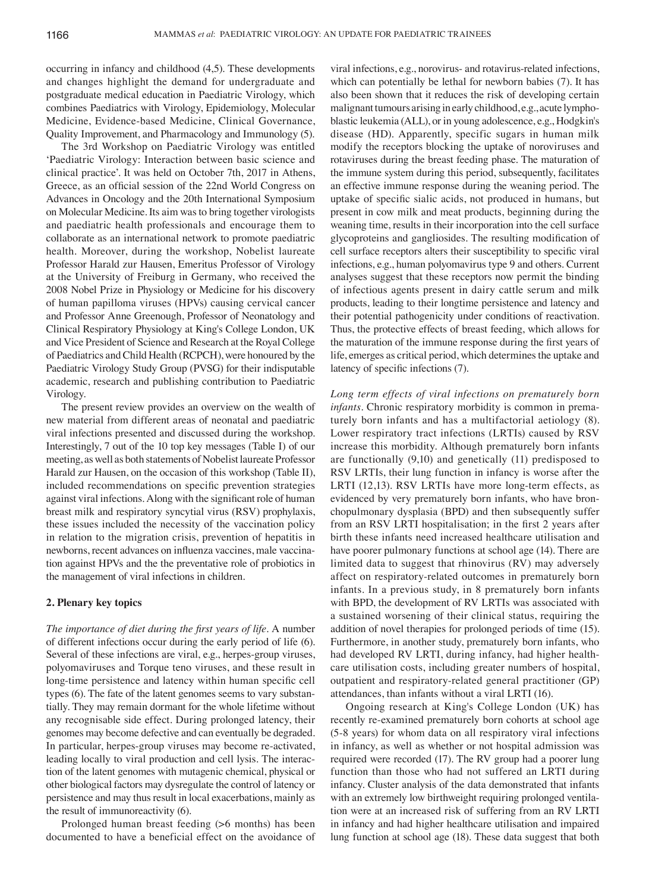occurring in infancy and childhood (4,5). These developments and changes highlight the demand for undergraduate and postgraduate medical education in Paediatric Virology, which combines Paediatrics with Virology, Epidemiology, Molecular Medicine, Evidence-based Medicine, Clinical Governance, Quality Improvement, and Pharmacology and Immunology (5).

The 3rd Workshop on Paediatric Virology was entitled 'Paediatric Virology: Interaction between basic science and clinical practice'. It was held on October 7th, 2017 in Athens, Greece, as an official session of the 22nd World Congress on Advances in Oncology and the 20th International Symposium on Molecular Medicine. Its aim was to bring together virologists and paediatric health professionals and encourage them to collaborate as an international network to promote paediatric health. Moreover, during the workshop, Nobelist laureate Professor Harald zur Hausen, Emeritus Professor of Virology at the University of Freiburg in Germany, who received the 2008 Nobel Prize in Physiology or Medicine for his discovery of human papilloma viruses (HPVs) causing cervical cancer and Professor Anne Greenough, Professor of Neonatology and Clinical Respiratory Physiology at King's College London, UK and Vice President of Science and Research at the Royal College of Paediatrics and Child Health (RCPCH), were honoured by the Paediatric Virology Study Group (PVSG) for their indisputable academic, research and publishing contribution to Paediatric Virology.

The present review provides an overview on the wealth of new material from different areas of neonatal and paediatric viral infections presented and discussed during the workshop. Interestingly, 7 out of the 10 top key messages (Table I) of our meeting, as well as both statements of Nobelist laureate Professor Harald zur Hausen, on the occasion of this workshop (Table II), included recommendations on specific prevention strategies against viral infections. Along with the significant role of human breast milk and respiratory syncytial virus (RSV) prophylaxis, these issues included the necessity of the vaccination policy in relation to the migration crisis, prevention of hepatitis in newborns, recent advances on influenza vaccines, male vaccination against HPVs and the the preventative role of probiotics in the management of viral infections in children.

## **2. Plenary key topics**

*The importance of diet during the first years of life.* A number of different infections occur during the early period of life (6). Several of these infections are viral, e.g., herpes-group viruses, polyomaviruses and Torque teno viruses, and these result in long-time persistence and latency within human specific cell types (6). The fate of the latent genomes seems to vary substantially. They may remain dormant for the whole lifetime without any recognisable side effect. During prolonged latency, their genomes may become defective and can eventually be degraded. In particular, herpes-group viruses may become re-activated, leading locally to viral production and cell lysis. The interaction of the latent genomes with mutagenic chemical, physical or other biological factors may dysregulate the control of latency or persistence and may thus result in local exacerbations, mainly as the result of immunoreactivity (6).

Prolonged human breast feeding (>6 months) has been documented to have a beneficial effect on the avoidance of

viral infections, e.g., norovirus‑ and rotavirus-related infections, which can potentially be lethal for newborn babies (7). It has also been shown that it reduces the risk of developing certain malignant tumours arising in early childhood, e.g., acute lymphoblastic leukemia (ALL), or in young adolescence, e.g., Hodgkin's disease (HD). Apparently, specific sugars in human milk modify the receptors blocking the uptake of noroviruses and rotaviruses during the breast feeding phase. The maturation of the immune system during this period, subsequently, facilitates an effective immune response during the weaning period. The uptake of specific sialic acids, not produced in humans, but present in cow milk and meat products, beginning during the weaning time, results in their incorporation into the cell surface glycoproteins and gangliosides. The resulting modification of cell surface receptors alters their susceptibility to specific viral infections, e.g., human polyomavirus type 9 and others. Current analyses suggest that these receptors now permit the binding of infectious agents present in dairy cattle serum and milk products, leading to their longtime persistence and latency and their potential pathogenicity under conditions of reactivation. Thus, the protective effects of breast feeding, which allows for the maturation of the immune response during the first years of life, emerges as critical period, which determines the uptake and latency of specific infections (7).

*Long term effects of viral infections on prematurely born infants.* Chronic respiratory morbidity is common in prematurely born infants and has a multifactorial aetiology (8). Lower respiratory tract infections (LRTIs) caused by RSV increase this morbidity. Although prematurely born infants are functionally (9,10) and genetically (11) predisposed to RSV LRTIs, their lung function in infancy is worse after the LRTI (12,13). RSV LRTIs have more long-term effects, as evidenced by very prematurely born infants, who have bronchopulmonary dysplasia (BPD) and then subsequently suffer from an RSV LRTI hospitalisation; in the first 2 years after birth these infants need increased healthcare utilisation and have poorer pulmonary functions at school age (14). There are limited data to suggest that rhinovirus (RV) may adversely affect on respiratory-related outcomes in prematurely born infants. In a previous study, in 8 prematurely born infants with BPD, the development of RV LRTIs was associated with a sustained worsening of their clinical status, requiring the addition of novel therapies for prolonged periods of time (15). Furthermore, in another study, prematurely born infants, who had developed RV LRTI, during infancy, had higher healthcare utilisation costs, including greater numbers of hospital, outpatient and respiratory-related general practitioner (GP) attendances, than infants without a viral LRTI (16).

Ongoing research at King's College London (UK) has recently re-examined prematurely born cohorts at school age (5-8 years) for whom data on all respiratory viral infections in infancy, as well as whether or not hospital admission was required were recorded (17). The RV group had a poorer lung function than those who had not suffered an LRTI during infancy. Cluster analysis of the data demonstrated that infants with an extremely low birthweight requiring prolonged ventilation were at an increased risk of suffering from an RV LRTI in infancy and had higher healthcare utilisation and impaired lung function at school age (18). These data suggest that both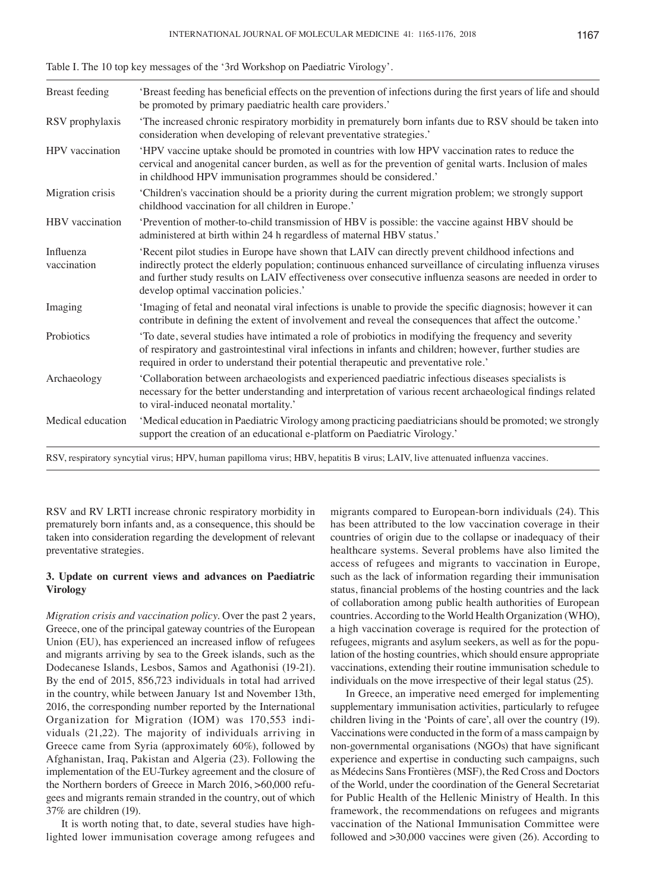| Table I. The 10 top key messages of the '3rd Workshop on Paediatric Virology'. |  |  |
|--------------------------------------------------------------------------------|--|--|
|--------------------------------------------------------------------------------|--|--|

| <b>Breast</b> feeding    | 'Breast feeding has beneficial effects on the prevention of infections during the first years of life and should<br>be promoted by primary paediatric health care providers.'                                                                                                                                                                                             |  |  |  |
|--------------------------|---------------------------------------------------------------------------------------------------------------------------------------------------------------------------------------------------------------------------------------------------------------------------------------------------------------------------------------------------------------------------|--|--|--|
| RSV prophylaxis          | The increased chronic respiratory morbidity in prematurely born infants due to RSV should be taken into<br>consideration when developing of relevant preventative strategies.'                                                                                                                                                                                            |  |  |  |
| HPV vaccination          | 'HPV vaccine uptake should be promoted in countries with low HPV vaccination rates to reduce the<br>cervical and anogenital cancer burden, as well as for the prevention of genital warts. Inclusion of males<br>in childhood HPV immunisation programmes should be considered.'                                                                                          |  |  |  |
| Migration crisis         | 'Children's vaccination should be a priority during the current migration problem; we strongly support<br>childhood vaccination for all children in Europe.'                                                                                                                                                                                                              |  |  |  |
| HBV vaccination          | 'Prevention of mother-to-child transmission of HBV is possible: the vaccine against HBV should be<br>administered at birth within 24 h regardless of maternal HBV status.'                                                                                                                                                                                                |  |  |  |
| Influenza<br>vaccination | 'Recent pilot studies in Europe have shown that LAIV can directly prevent childhood infections and<br>indirectly protect the elderly population; continuous enhanced surveillance of circulating influenza viruses<br>and further study results on LAIV effectiveness over consecutive influenza seasons are needed in order to<br>develop optimal vaccination policies.' |  |  |  |
| Imaging                  | 'Imaging of fetal and neonatal viral infections is unable to provide the specific diagnosis; however it can<br>contribute in defining the extent of involvement and reveal the consequences that affect the outcome.'                                                                                                                                                     |  |  |  |
| Probiotics               | To date, several studies have intimated a role of probiotics in modifying the frequency and severity<br>of respiratory and gastrointestinal viral infections in infants and children; however, further studies are<br>required in order to understand their potential therapeutic and preventative role.'                                                                 |  |  |  |
| Archaeology              | 'Collaboration between archaeologists and experienced paediatric infectious diseases specialists is<br>necessary for the better understanding and interpretation of various recent archaeological findings related<br>to viral-induced neonatal mortality.'                                                                                                               |  |  |  |
| Medical education        | 'Medical education in Paediatric Virology among practicing paediatricians should be promoted; we strongly<br>support the creation of an educational e-platform on Paediatric Virology.'                                                                                                                                                                                   |  |  |  |
|                          | RSV, respiratory syncytial virus; HPV, human papilloma virus; HBV, hepatitis B virus; LAIV, live attenuated influenza vaccines.                                                                                                                                                                                                                                           |  |  |  |

RSV and RV LRTI increase chronic respiratory morbidity in prematurely born infants and, as a consequence, this should be taken into consideration regarding the development of relevant preventative strategies.

# **3. Update on current views and advances on Paediatric Virology**

*Migration crisis and vaccination policy.* Over the past 2 years, Greece, one of the principal gateway countries of the European Union (EU), has experienced an increased inflow of refugees and migrants arriving by sea to the Greek islands, such as the Dodecanese Islands, Lesbos, Samos and Agathonisi (19‑21). By the end of 2015, 856,723 individuals in total had arrived in the country, while between January 1st and November 13th, 2016, the corresponding number reported by the International Organization for Migration (IOM) was 170,553 individuals (21,22). The majority of individuals arriving in Greece came from Syria (approximately 60%), followed by Afghanistan, Iraq, Pakistan and Algeria (23). Following the implementation of the EU-Turkey agreement and the closure of the Northern borders of Greece in March 2016, >60,000 refugees and migrants remain stranded in the country, out of which 37% are children (19).

It is worth noting that, to date, several studies have highlighted lower immunisation coverage among refugees and

migrants compared to European-born individuals (24). This has been attributed to the low vaccination coverage in their countries of origin due to the collapse or inadequacy of their healthcare systems. Several problems have also limited the access of refugees and migrants to vaccination in Europe, such as the lack of information regarding their immunisation status, financial problems of the hosting countries and the lack of collaboration among public health authorities of European countries. According to the World Health Organization (WHO), a high vaccination coverage is required for the protection of refugees, migrants and asylum seekers, as well as for the population of the hosting countries, which should ensure appropriate vaccinations, extending their routine immunisation schedule to individuals on the move irrespective of their legal status (25).

In Greece, an imperative need emerged for implementing supplementary immunisation activities, particularly to refugee children living in the 'Points of care', all over the country (19). Vaccinations were conducted in the form of a mass campaign by non‑governmental organisations (NGOs) that have significant experience and expertise in conducting such campaigns, such as Médecins Sans Frontières(MSF), the Red Cross and Doctors of the World, under the coordination of the General Secretariat for Public Health of the Hellenic Ministry of Health. In this framework, the recommendations on refugees and migrants vaccination of the National Immunisation Committee were followed and >30,000 vaccines were given (26). According to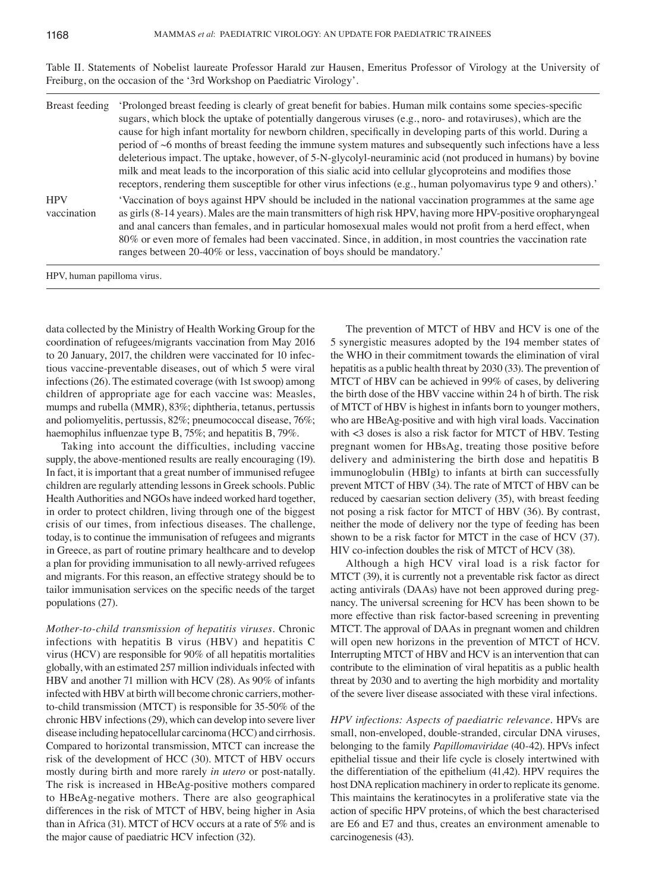|  | Table II. Statements of Nobelist laureate Professor Harald zur Hausen, Emeritus Professor of Virology at the University of |  |  |  |  |  |  |
|--|----------------------------------------------------------------------------------------------------------------------------|--|--|--|--|--|--|
|  | Freiburg, on the occasion of the '3rd Workshop on Paediatric Virology'.                                                    |  |  |  |  |  |  |

| Breast feeding            | Prolonged breast feeding is clearly of great benefit for babies. Human milk contains some species-specific<br>sugars, which block the uptake of potentially dangerous viruses (e.g., noro- and rotaviruses), which are the<br>cause for high infant mortality for newborn children, specifically in developing parts of this world. During a<br>period of ~6 months of breast feeding the immune system matures and subsequently such infections have a less<br>deleterious impact. The uptake, however, of 5-N-glycolyl-neuraminic acid (not produced in humans) by bovine<br>milk and meat leads to the incorporation of this sialic acid into cellular glycoproteins and modifies those<br>receptors, rendering them susceptible for other virus infections (e.g., human polyomavirus type 9 and others).' |
|---------------------------|---------------------------------------------------------------------------------------------------------------------------------------------------------------------------------------------------------------------------------------------------------------------------------------------------------------------------------------------------------------------------------------------------------------------------------------------------------------------------------------------------------------------------------------------------------------------------------------------------------------------------------------------------------------------------------------------------------------------------------------------------------------------------------------------------------------|
| <b>HPV</b><br>vaccination | 'Vaccination of boys against HPV should be included in the national vaccination programmes at the same age<br>as girls (8-14 years). Males are the main transmitters of high risk HPV, having more HPV-positive or opharyngeal<br>and anal cancers than females, and in particular homosexual males would not profit from a herd effect, when<br>80% or even more of females had been vaccinated. Since, in addition, in most countries the vaccination rate<br>ranges between 20-40% or less, vaccination of boys should be mandatory.'                                                                                                                                                                                                                                                                      |

HPV, human papilloma virus.

data collected by the Ministry of Health Working Group for the coordination of refugees/migrants vaccination from May 2016 to 20 January, 2017, the children were vaccinated for 10 infectious vaccine-preventable diseases, out of which 5 were viral infections  $(26)$ . The estimated coverage (with 1st swoop) among children of appropriate age for each vaccine was: Measles, mumps and rubella (MMR), 83%; diphtheria, tetanus, pertussis and poliomyelitis, pertussis, 82%; pneumococcal disease, 76%; haemophilus influenzae type B, 75%; and hepatitis B, 79%.

Taking into account the difficulties, including vaccine supply, the above-mentioned results are really encouraging (19). In fact, it is important that a great number of immunised refugee children are regularly attending lessons in Greek schools. Public Health Authorities and NGOs have indeed worked hard together, in order to protect children, living through one of the biggest crisis of our times, from infectious diseases. The challenge, today, is to continue the immunisation of refugees and migrants in Greece, as part of routine primary healthcare and to develop a plan for providing immunisation to all newly-arrived refugees and migrants. For this reason, an effective strategy should be to tailor immunisation services on the specific needs of the target populations (27).

*Mother‑to‑child transmission of hepatitis viruses.* Chronic infections with hepatitis B virus (HBV) and hepatitis C virus (HCV) are responsible for 90% of all hepatitis mortalities globally, with an estimated 257 million individuals infected with HBV and another 71 million with HCV (28). As 90% of infants infected with HBV at birth will become chronic carriers, motherto-child transmission (MTCT) is responsible for 35-50% of the chronic HBV infections(29), which can develop into severe liver disease including hepatocellular carcinoma (HCC) and cirrhosis. Compared to horizontal transmission, MTCT can increase the risk of the development of HCC (30). MTCT of HBV occurs mostly during birth and more rarely *in utero* or post-natally. The risk is increased in HBeAg-positive mothers compared to HBeAg‑negative mothers. There are also geographical differences in the risk of MTCT of HBV, being higher in Asia than in Africa (31). MTCT of HCV occurs at a rate of 5% and is the major cause of paediatric HCV infection (32).

The prevention of MTCT of HBV and HCV is one of the 5 synergistic measures adopted by the 194 member states of the WHO in their commitment towards the elimination of viral hepatitis as a public health threat by 2030 (33). The prevention of MTCT of HBV can be achieved in 99% of cases, by delivering the birth dose of the HBV vaccine within 24 h of birth. The risk of MTCT of HBV is highest in infants born to younger mothers, who are HBeAg-positive and with high viral loads. Vaccination with <3 doses is also a risk factor for MTCT of HBV. Testing pregnant women for HBsAg, treating those positive before delivery and administering the birth dose and hepatitis B immunoglobulin (HBIg) to infants at birth can successfully prevent MTCT of HBV (34). The rate of MTCT of HBV can be reduced by caesarian section delivery (35), with breast feeding not posing a risk factor for MTCT of HBV (36). By contrast, neither the mode of delivery nor the type of feeding has been shown to be a risk factor for MTCT in the case of HCV (37). HIV co‑infection doubles the risk of MTCT of HCV (38).

Although a high HCV viral load is a risk factor for MTCT (39), it is currently not a preventable risk factor as direct acting antivirals (DAAs) have not been approved during pregnancy. The universal screening for HCV has been shown to be more effective than risk factor-based screening in preventing MTCT. The approval of DAAs in pregnant women and children will open new horizons in the prevention of MTCT of HCV. Interrupting MTCT of HBV and HCV is an intervention that can contribute to the elimination of viral hepatitis as a public health threat by 2030 and to averting the high morbidity and mortality of the severe liver disease associated with these viral infections.

*HPV infections: Aspects of paediatric relevance.* HPVs are small, non-enveloped, double-stranded, circular DNA viruses, belonging to the family *Papillomaviridae* (40‑42). HPVs infect epithelial tissue and their life cycle is closely intertwined with the differentiation of the epithelium (41,42). HPV requires the host DNA replication machinery in order to replicate its genome. This maintains the keratinocytes in a proliferative state via the action of specific HPV proteins, of which the best characterised are E6 and E7 and thus, creates an environment amenable to carcinogenesis (43).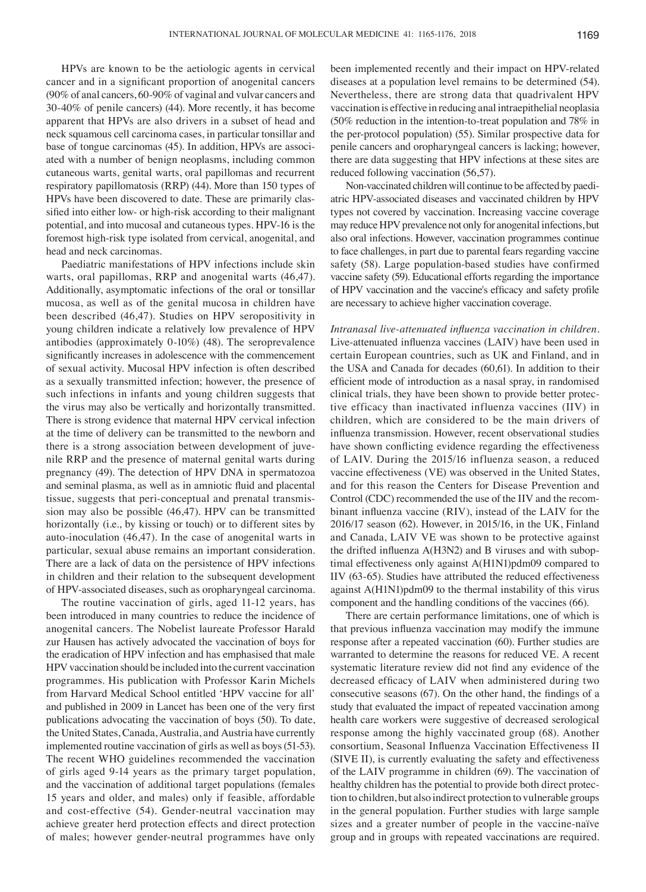HPVs are known to be the aetiologic agents in cervical cancer and in a significant proportion of anogenital cancers (90% of anal cancers, 60-90% of vaginal and vulvar cancers and 30‑40% of penile cancers) (44). More recently, it has become apparent that HPVs are also drivers in a subset of head and neck squamous cell carcinoma cases, in particular tonsillar and base of tongue carcinomas (45). In addition, HPVs are associated with a number of benign neoplasms, including common cutaneous warts, genital warts, oral papillomas and recurrent respiratory papillomatosis (RRP) (44). More than 150 types of HPVs have been discovered to date. These are primarily classified into either low- or high-risk according to their malignant potential, and into mucosal and cutaneous types. HPV‑16 is the foremost high-risk type isolated from cervical, anogenital, and head and neck carcinomas.

Paediatric manifestations of HPV infections include skin warts, oral papillomas, RRP and anogenital warts (46,47). Additionally, asymptomatic infections of the oral or tonsillar mucosa, as well as of the genital mucosa in children have been described (46,47). Studies on HPV seropositivity in young children indicate a relatively low prevalence of HPV antibodies (approximately 0‑10%) (48). The seroprevalence significantly increases in adolescence with the commencement of sexual activity. Mucosal HPV infection is often described as a sexually transmitted infection; however, the presence of such infections in infants and young children suggests that the virus may also be vertically and horizontally transmitted. There is strong evidence that maternal HPV cervical infection at the time of delivery can be transmitted to the newborn and there is a strong association between development of juvenile RRP and the presence of maternal genital warts during pregnancy (49). The detection of HPV DNA in spermatozoa and seminal plasma, as well as in amniotic fluid and placental tissue, suggests that peri-conceptual and prenatal transmission may also be possible (46,47). HPV can be transmitted horizontally (i.e., by kissing or touch) or to different sites by auto‑inoculation (46,47). In the case of anogenital warts in particular, sexual abuse remains an important consideration. There are a lack of data on the persistence of HPV infections in children and their relation to the subsequent development of HPV‑associated diseases, such as oropharyngeal carcinoma.

The routine vaccination of girls, aged 11-12 years, has been introduced in many countries to reduce the incidence of anogenital cancers. The Nobelist laureate Professor Harald zur Hausen has actively advocated the vaccination of boys for the eradication of HPV infection and has emphasised that male HPV vaccination should be included into the current vaccination programmes. His publication with Professor Karin Michels from Harvard Medical School entitled 'HPV vaccine for all' and published in 2009 in Lancet has been one of the very first publications advocating the vaccination of boys (50). To date, the United States, Canada, Australia, and Austria have currently implemented routine vaccination of girls as well as boys(51‑53). The recent WHO guidelines recommended the vaccination of girls aged 9-14 years as the primary target population, and the vaccination of additional target populations (females 15 years and older, and males) only if feasible, affordable and cost-effective (54). Gender-neutral vaccination may achieve greater herd protection effects and direct protection of males; however gender‑neutral programmes have only been implemented recently and their impact on HPV-related diseases at a population level remains to be determined (54). Nevertheless, there are strong data that quadrivalent HPV vaccination is effective in reducing anal intraepithelial neoplasia (50% reduction in the intention-to-treat population and 78% in the per‑protocol population) (55). Similar prospective data for penile cancers and oropharyngeal cancers is lacking; however, there are data suggesting that HPV infections at these sites are reduced following vaccination (56,57).

Non-vaccinated children will continue to be affected by paediatric HPV‑associated diseases and vaccinated children by HPV types not covered by vaccination. Increasing vaccine coverage may reduce HPV prevalence not only for anogenital infections, but also oral infections. However, vaccination programmes continue to face challenges, in part due to parental fears regarding vaccine safety (58). Large population-based studies have confirmed vaccine safety (59). Educational efforts regarding the importance of HPV vaccination and the vaccine's efficacy and safety profile are necessary to achieve higher vaccination coverage.

*Intranasal live‑attenuated influenza vaccination in children.*  Live‑attenuated influenza vaccines (LAIV) have been used in certain European countries, such as UK and Finland, and in the USA and Canada for decades (60,61). In addition to their efficient mode of introduction as a nasal spray, in randomised clinical trials, they have been shown to provide better protective efficacy than inactivated influenza vaccines (IIV) in children, which are considered to be the main drivers of influenza transmission. However, recent observational studies have shown conflicting evidence regarding the effectiveness of LAIV. During the 2015/16 influenza season, a reduced vaccine effectiveness (VE) was observed in the United States, and for this reason the Centers for Disease Prevention and Control (CDC) recommended the use of the IIV and the recombinant influenza vaccine (RIV), instead of the LAIV for the 2016/17 season (62). However, in 2015/16, in the UK, Finland and Canada, LAIV VE was shown to be protective against the drifted influenza A(H3N2) and B viruses and with suboptimal effectiveness only against A(H1N1)pdm09 compared to IIV (63‑65). Studies have attributed the reduced effectiveness against A(H1N1)pdm09 to the thermal instability of this virus component and the handling conditions of the vaccines (66).

There are certain performance limitations, one of which is that previous influenza vaccination may modify the immune response after a repeated vaccination (60). Further studies are warranted to determine the reasons for reduced VE. A recent systematic literature review did not find any evidence of the decreased efficacy of LAIV when administered during two consecutive seasons (67). On the other hand, the findings of a study that evaluated the impact of repeated vaccination among health care workers were suggestive of decreased serological response among the highly vaccinated group (68). Another consortium, Seasonal Influenza Vaccination Effectiveness II (SIVE II), is currently evaluating the safety and effectiveness of the LAIV programme in children (69). The vaccination of healthy children has the potential to provide both direct protection to children, but also indirect protection to vulnerable groups in the general population. Further studies with large sample sizes and a greater number of people in the vaccine‑naïve group and in groups with repeated vaccinations are required.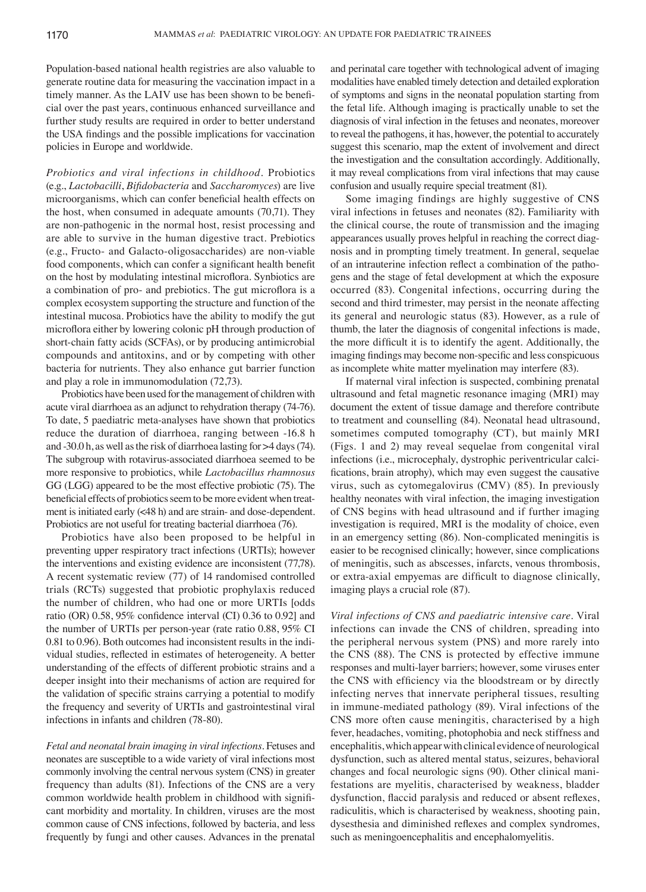Population-based national health registries are also valuable to generate routine data for measuring the vaccination impact in a timely manner. As the LAIV use has been shown to be beneficial over the past years, continuous enhanced surveillance and further study results are required in order to better understand the USA findings and the possible implications for vaccination policies in Europe and worldwide.

*Probiotics and viral infections in childhood.* Probiotics (e.g., *Lactobacilli*, *Bifidobacteria* and *Saccharomyces*) are live microorganisms, which can confer beneficial health effects on the host, when consumed in adequate amounts (70,71). They are non-pathogenic in the normal host, resist processing and are able to survive in the human digestive tract. Prebiotics (e.g., Fructo‑ and Galacto-oligosaccharides) are non‑viable food components, which can confer a significant health benefit on the host by modulating intestinal microflora. Synbiotics are a combination of pro‑ and prebiotics. The gut microflora is a complex ecosystem supporting the structure and function of the intestinal mucosa. Probiotics have the ability to modify the gut microflora either by lowering colonic pH through production of short-chain fatty acids (SCFAs), or by producing antimicrobial compounds and antitoxins, and or by competing with other bacteria for nutrients. They also enhance gut barrier function and play a role in immunomodulation (72,73).

Probiotics have been used for the management of children with acute viral diarrhoea as an adjunct to rehydration therapy (74‑76). To date, 5 paediatric meta-analyses have shown that probiotics reduce the duration of diarrhoea, ranging between ‑16.8 h and ‑30.0 h, as well as the risk of diarrhoea lasting for >4 days(74). The subgroup with rotavirus-associated diarrhoea seemed to be more responsive to probiotics, while *Lactobacillus rhamnosus* GG (LGG) appeared to be the most effective probiotic (75). The beneficial effects of probiotics seem to be more evident when treatment is initiated early (<48 h) and are strain- and dose-dependent. Probiotics are not useful for treating bacterial diarrhoea (76).

Probiotics have also been proposed to be helpful in preventing upper respiratory tract infections (URTIs); however the interventions and existing evidence are inconsistent (77,78). A recent systematic review (77) of 14 randomised controlled trials (RCTs) suggested that probiotic prophylaxis reduced the number of children, who had one or more URTIs [odds ratio (OR) 0.58, 95% confidence interval (CI) 0.36 to 0.92] and the number of URTIs per person‑year (rate ratio 0.88, 95% CI 0.81 to 0.96). Both outcomes had inconsistent results in the individual studies, reflected in estimates of heterogeneity. A better understanding of the effects of different probiotic strains and a deeper insight into their mechanisms of action are required for the validation of specific strains carrying a potential to modify the frequency and severity of URTIs and gastrointestinal viral infections in infants and children (78‑80).

*Fetal and neonatal brain imaging in viral infections.* Fetuses and neonates are susceptible to a wide variety of viral infections most commonly involving the central nervous system (CNS) in greater frequency than adults (81). Infections of the CNS are a very common worldwide health problem in childhood with significant morbidity and mortality. In children, viruses are the most common cause of CNS infections, followed by bacteria, and less frequently by fungi and other causes. Advances in the prenatal and perinatal care together with technological advent of imaging modalities have enabled timely detection and detailed exploration of symptoms and signs in the neonatal population starting from the fetal life. Although imaging is practically unable to set the diagnosis of viral infection in the fetuses and neonates, moreover to reveal the pathogens, it has, however, the potential to accurately suggest this scenario, map the extent of involvement and direct the investigation and the consultation accordingly. Additionally, it may reveal complications from viral infections that may cause confusion and usually require special treatment (81).

Some imaging findings are highly suggestive of CNS viral infections in fetuses and neonates (82). Familiarity with the clinical course, the route of transmission and the imaging appearances usually proves helpful in reaching the correct diagnosis and in prompting timely treatment. In general, sequelae of an intrauterine infection reflect a combination of the pathogens and the stage of fetal development at which the exposure occurred (83). Congenital infections, occurring during the second and third trimester, may persist in the neonate affecting its general and neurologic status (83). However, as a rule of thumb, the later the diagnosis of congenital infections is made, the more difficult it is to identify the agent. Additionally, the imaging findings may become non‑specific and less conspicuous as incomplete white matter myelination may interfere (83).

If maternal viral infection is suspected, combining prenatal ultrasound and fetal magnetic resonance imaging (MRI) may document the extent of tissue damage and therefore contribute to treatment and counselling (84). Neonatal head ultrasound, sometimes computed tomography (CT), but mainly MRI (Figs. 1 and 2) may reveal sequelae from congenital viral infections (i.e., microcephaly, dystrophic periventricular calcifications, brain atrophy), which may even suggest the causative virus, such as cytomegalovirus (CMV) (85). In previously healthy neonates with viral infection, the imaging investigation of CNS begins with head ultrasound and if further imaging investigation is required, MRI is the modality of choice, even in an emergency setting (86). Non-complicated meningitis is easier to be recognised clinically; however, since complications of meningitis, such as abscesses, infarcts, venous thrombosis, or extra‑axial empyemas are difficult to diagnose clinically, imaging plays a crucial role (87).

*Viral infections of CNS and paediatric intensive care.* Viral infections can invade the CNS of children, spreading into the peripheral nervous system (PNS) and more rarely into the CNS (88). The CNS is protected by effective immune responses and multi‑layer barriers; however, some viruses enter the CNS with efficiency via the bloodstream or by directly infecting nerves that innervate peripheral tissues, resulting in immune‑mediated pathology (89). Viral infections of the CNS more often cause meningitis, characterised by a high fever, headaches, vomiting, photophobia and neck stiffness and encephalitis, which appear with clinical evidence of neurological dysfunction, such as altered mental status, seizures, behavioral changes and focal neurologic signs (90). Other clinical manifestations are myelitis, characterised by weakness, bladder dysfunction, flaccid paralysis and reduced or absent reflexes, radiculitis, which is characterised by weakness, shooting pain, dysesthesia and diminished reflexes and complex syndromes, such as meningoencephalitis and encephalomyelitis.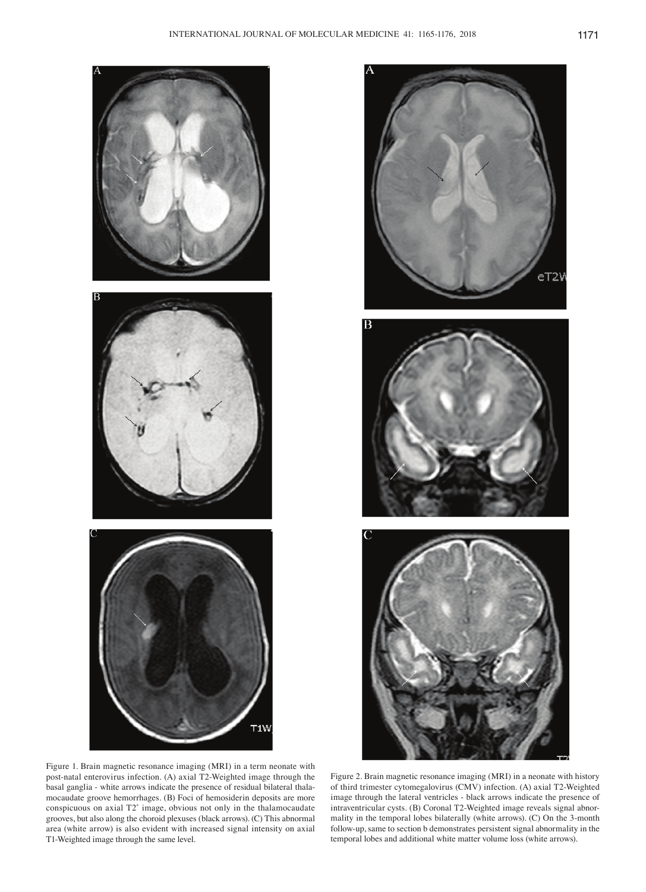



Figure 1. Brain magnetic resonance imaging (MRI) in a term neonate with post‑natal enterovirus infection. (A) axial T2‑Weighted image through the basal ganglia - white arrows indicate the presence of residual bilateral thalamocaudate groove hemorrhages. (B) Foci of hemosiderin deposits are more conspicuous on axial T2\* image, obvious not only in the thalamocaudate grooves, but also along the choroid plexuses (black arrows). (C) This abnormal area (white arrow) is also evident with increased signal intensity on axial T1‑Weighted image through the same level.

Figure 2. Brain magnetic resonance imaging (MRI) in a neonate with history of third trimester cytomegalovirus (CMV) infection. (A) axial T2‑Weighted image through the lateral ventricles - black arrows indicate the presence of intraventricular cysts. (B) Coronal T2‑Weighted image reveals signal abnormality in the temporal lobes bilaterally (white arrows). (C) On the 3-month follow-up, same to section b demonstrates persistent signal abnormality in the temporal lobes and additional white matter volume loss (white arrows).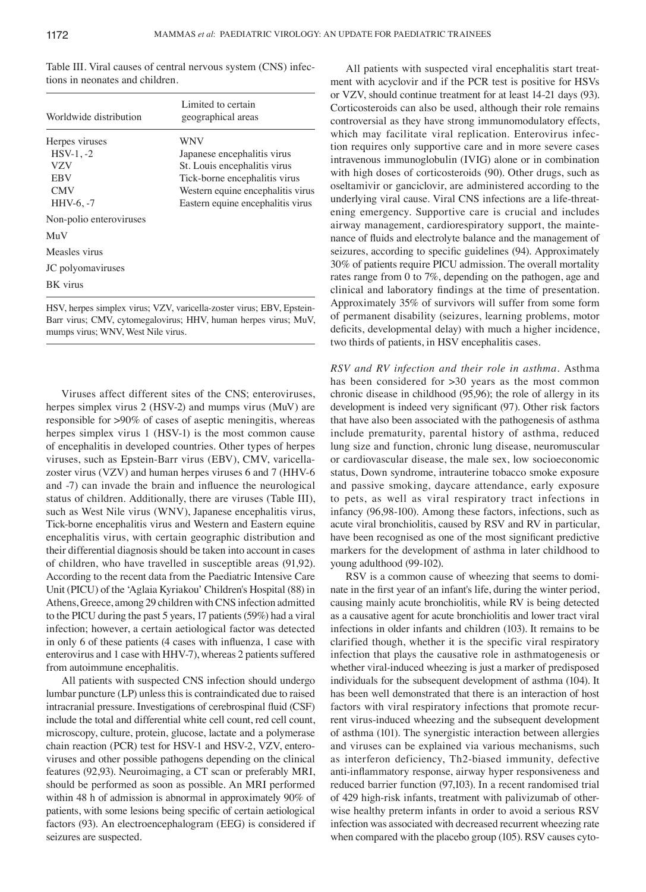| ۰<br>I<br>. . |
|---------------|
|---------------|

| Worldwide distribution  | Limited to certain<br>geographical areas |
|-------------------------|------------------------------------------|
| Herpes viruses          | WNV                                      |
| $HSV-1, -2$             | Japanese encephalitis virus              |
| VZV                     | St. Louis encephalitis virus             |
| <b>EBV</b>              | Tick-borne encephalitis virus            |
| <b>CMV</b>              | Western equine encephalitis virus        |
| $HHV-6, -7$             | Eastern equine encephalitis virus        |
| Non-polio enteroviruses |                                          |
| MuV                     |                                          |
| Measles virus           |                                          |
| JC polyomaviruses       |                                          |
| BK virus                |                                          |

Table III. Viral causes of central nervous system (CNS) infections in neonates and children.

HSV, herpes simplex virus; VZV, varicella-zoster virus; EBV, Epstein-Barr virus; CMV, cytomegalovirus; HHV, human herpes virus; MuV, mumps virus; WNV, West Nile virus.

Viruses affect different sites of the CNS; enteroviruses, herpes simplex virus 2 (HSV-2) and mumps virus (MuV) are responsible for >90% of cases of aseptic meningitis, whereas herpes simplex virus 1 (HSV-1) is the most common cause of encephalitis in developed countries. Other types of herpes viruses, such as Epstein-Barr virus (EBV), CMV, varicellazoster virus (VZV) and human herpes viruses 6 and 7 (HHV‑6 and  $-7$ ) can invade the brain and influence the neurological status of children. Additionally, there are viruses (Table III), such as West Nile virus (WNV), Japanese encephalitis virus, Tick-borne encephalitis virus and Western and Eastern equine encephalitis virus, with certain geographic distribution and their differential diagnosis should be taken into account in cases of children, who have travelled in susceptible areas (91,92). According to the recent data from the Paediatric Intensive Care Unit (PICU) of the 'Aglaia Kyriakou' Children's Hospital (88) in Athens, Greece, among 29 children with CNS infection admitted to the PICU during the past 5 years, 17 patients(59%) had a viral infection; however, a certain aetiological factor was detected in only 6 of these patients (4 cases with influenza, 1 case with enterovirus and 1 case with HHV‑7), whereas 2 patients suffered from autoimmune encephalitis.

All patients with suspected CNS infection should undergo lumbar puncture (LP) unless this is contraindicated due to raised intracranial pressure. Investigations of cerebrospinal fluid (CSF) include the total and differential white cell count, red cell count, microscopy, culture, protein, glucose, lactate and a polymerase chain reaction (PCR) test for HSV-1 and HSV-2, VZV, enteroviruses and other possible pathogens depending on the clinical features (92,93). Neuroimaging, a CT scan or preferably MRI, should be performed as soon as possible. An MRI performed within 48 h of admission is abnormal in approximately 90% of patients, with some lesions being specific of certain aetiological factors (93). An electroencephalogram (EEG) is considered if seizures are suspected.

All patients with suspected viral encephalitis start treatment with acyclovir and if the PCR test is positive for HSVs or VZV, should continue treatment for at least 14‑21 days (93). Corticosteroids can also be used, although their role remains controversial as they have strong immunomodulatory effects, which may facilitate viral replication. Enterovirus infection requires only supportive care and in more severe cases intravenous immunoglobulin (IVIG) alone or in combination with high doses of corticosteroids (90). Other drugs, such as oseltamivir or ganciclovir, are administered according to the underlying viral cause. Viral CNS infections are a life-threatening emergency. Supportive care is crucial and includes airway management, cardiorespiratory support, the maintenance of fluids and electrolyte balance and the management of seizures, according to specific guidelines (94). Approximately 30% of patients require PICU admission. The overall mortality rates range from 0 to 7%, depending on the pathogen, age and clinical and laboratory findings at the time of presentation. Approximately 35% of survivors will suffer from some form of permanent disability (seizures, learning problems, motor deficits, developmental delay) with much a higher incidence, two thirds of patients, in HSV encephalitis cases.

*RSV and RV infection and their role in asthma.* Asthma has been considered for >30 years as the most common chronic disease in childhood (95,96); the role of allergy in its development is indeed very significant (97). Other risk factors that have also been associated with the pathogenesis of asthma include prematurity, parental history of asthma, reduced lung size and function, chronic lung disease, neuromuscular or cardiovascular disease, the male sex, low socioeconomic status, Down syndrome, intrauterine tobacco smoke exposure and passive smoking, daycare attendance, early exposure to pets, as well as viral respiratory tract infections in infancy (96,98‑100). Among these factors, infections, such as acute viral bronchiolitis, caused by RSV and RV in particular, have been recognised as one of the most significant predictive markers for the development of asthma in later childhood to young adulthood (99-102).

RSV is a common cause of wheezing that seems to dominate in the first year of an infant's life, during the winter period, causing mainly acute bronchiolitis, while RV is being detected as a causative agent for acute bronchiolitis and lower tract viral infections in older infants and children (103). It remains to be clarified though, whether it is the specific viral respiratory infection that plays the causative role in asthmatogenesis or whether viral-induced wheezing is just a marker of predisposed individuals for the subsequent development of asthma (104). It has been well demonstrated that there is an interaction of host factors with viral respiratory infections that promote recurrent virus‑induced wheezing and the subsequent development of asthma (101). The synergistic interaction between allergies and viruses can be explained via various mechanisms, such as interferon deficiency, Th2-biased immunity, defective anti‑inflammatory response, airway hyper responsiveness and reduced barrier function (97,103). In a recent randomised trial of 429 high-risk infants, treatment with palivizumab of otherwise healthy preterm infants in order to avoid a serious RSV infection was associated with decreased recurrent wheezing rate when compared with the placebo group (105). RSV causes cyto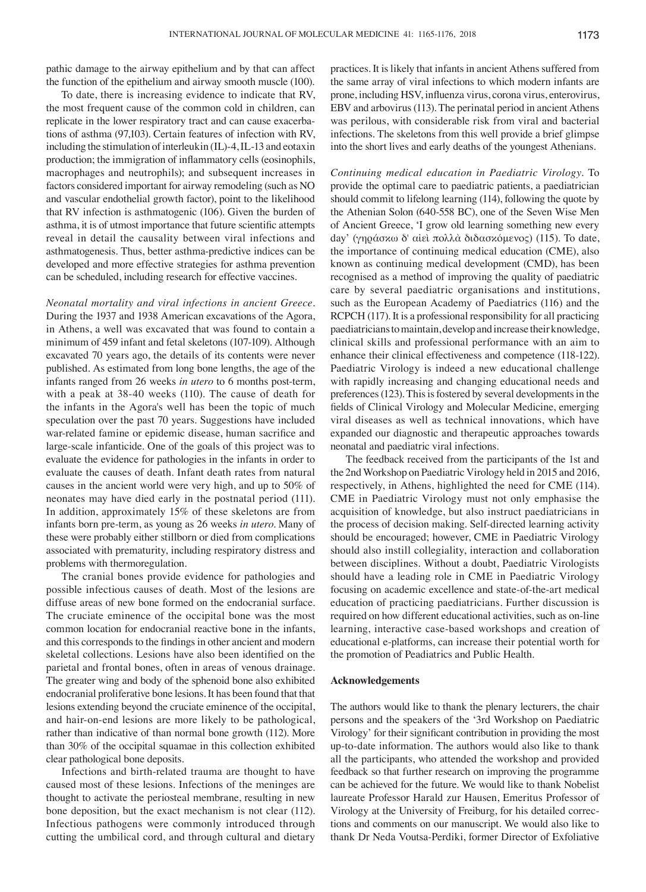pathic damage to the airway epithelium and by that can affect the function of the epithelium and airway smooth muscle (100).

To date, there is increasing evidence to indicate that RV, the most frequent cause of the common cold in children, can replicate in the lower respiratory tract and can cause exacerbations of asthma (97,103). Certain features of infection with RV, including the stimulation of interleukin (IL)-4, IL-13 and eotaxin production; the immigration of inflammatory cells (eosinophils, macrophages and neutrophils); and subsequent increases in factors considered important for airway remodeling (such as NO and vascular endothelial growth factor), point to the likelihood that RV infection is asthmatogenic (106). Given the burden of asthma, it is of utmost importance that future scientific attempts reveal in detail the causality between viral infections and asthmatogenesis. Thus, better asthma‑predictive indices can be developed and more effective strategies for asthma prevention can be scheduled, including research for effective vaccines.

*Neonatal mortality and viral infections in ancient Greece.*  During the 1937 and 1938 American excavations of the Agora, in Athens, a well was excavated that was found to contain a minimum of 459 infant and fetal skeletons (107‑109). Although excavated 70 years ago, the details of its contents were never published. As estimated from long bone lengths, the age of the infants ranged from 26 weeks *in utero* to 6 months post-term, with a peak at 38‑40 weeks (110). The cause of death for the infants in the Agora's well has been the topic of much speculation over the past 70 years. Suggestions have included war-related famine or epidemic disease, human sacrifice and large‑scale infanticide. One of the goals of this project was to evaluate the evidence for pathologies in the infants in order to evaluate the causes of death. Infant death rates from natural causes in the ancient world were very high, and up to 50% of neonates may have died early in the postnatal period (111). In addition, approximately 15% of these skeletons are from infants born pre-term, as young as 26 weeks *in utero*. Many of these were probably either stillborn or died from complications associated with prematurity, including respiratory distress and problems with thermoregulation.

The cranial bones provide evidence for pathologies and possible infectious causes of death. Most of the lesions are diffuse areas of new bone formed on the endocranial surface. The cruciate eminence of the occipital bone was the most common location for endocranial reactive bone in the infants, and this corresponds to the findings in other ancient and modern skeletal collections. Lesions have also been identified on the parietal and frontal bones, often in areas of venous drainage. The greater wing and body of the sphenoid bone also exhibited endocranial proliferative bone lesions. It has been found that that lesions extending beyond the cruciate eminence of the occipital, and hair-on-end lesions are more likely to be pathological, rather than indicative of than normal bone growth (112). More than 30% of the occipital squamae in this collection exhibited clear pathological bone deposits.

Infections and birth-related trauma are thought to have caused most of these lesions. Infections of the meninges are thought to activate the periosteal membrane, resulting in new bone deposition, but the exact mechanism is not clear (112). Infectious pathogens were commonly introduced through cutting the umbilical cord, and through cultural and dietary

practices. It is likely that infants in ancient Athens suffered from the same array of viral infections to which modern infants are prone, including HSV, influenza virus, corona virus, enterovirus, EBV and arbovirus(113). The perinatal period in ancient Athens was perilous, with considerable risk from viral and bacterial infections. The skeletons from this well provide a brief glimpse into the short lives and early deaths of the youngest Athenians.

*Continuing medical education in Paediatric Virology.* To provide the optimal care to paediatric patients, a paediatrician should commit to lifelong learning (114), following the quote by the Athenian Solon (640-558 BC), one of the Seven Wise Men of Ancient Greece, 'I grow old learning something new every day' (γηράσκω δ' αἰεὶ πολλὰ διδασκόμενος) (115). To date, the importance of continuing medical education (CME), also known as continuing medical development (CMD), has been recognised as a method of improving the quality of paediatric care by several paediatric organisations and institutions, such as the European Academy of Paediatrics (116) and the RCPCH (117). It is a professional responsibility for all practicing paediatricians to maintain, develop and increase their knowledge, clinical skills and professional performance with an aim to enhance their clinical effectiveness and competence (118-122). Paediatric Virology is indeed a new educational challenge with rapidly increasing and changing educational needs and preferences (123). This is fostered by several developments in the fields of Clinical Virology and Molecular Medicine, emerging viral diseases as well as technical innovations, which have expanded our diagnostic and therapeutic approaches towards neonatal and paediatric viral infections.

The feedback received from the participants of the 1st and the 2nd Workshop on Paediatric Virology held in 2015 and 2016, respectively, in Athens, highlighted the need for CME (114). CME in Paediatric Virology must not only emphasise the acquisition of knowledge, but also instruct paediatricians in the process of decision making. Self-directed learning activity should be encouraged; however, CME in Paediatric Virology should also instill collegiality, interaction and collaboration between disciplines. Without a doubt, Paediatric Virologists should have a leading role in CME in Paediatric Virology focusing on academic excellence and state-of-the-art medical education of practicing paediatricians. Further discussion is required on how different educational activities, such as on-line learning, interactive case-based workshops and creation of educational e-platforms, can increase their potential worth for the promotion of Peadiatrics and Public Health.

#### **Acknowledgements**

The authors would like to thank the plenary lecturers, the chair persons and the speakers of the '3rd Workshop on Paediatric Virology' for their significant contribution in providing the most up‑to‑date information. The authors would also like to thank all the participants, who attended the workshop and provided feedback so that further research on improving the programme can be achieved for the future. We would like to thank Nobelist laureate Professor Harald zur Hausen, Emeritus Professor of Virology at the University of Freiburg, for his detailed corrections and comments on our manuscript. We would also like to thank Dr Neda Voutsa-Perdiki, former Director of Exfoliative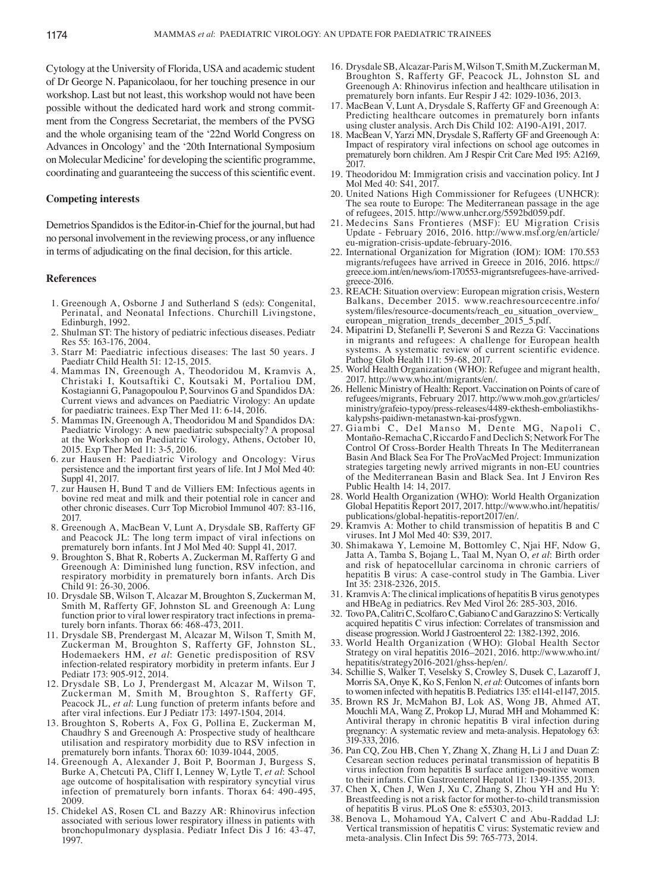Cytology at the University of Florida, USA and academic student of Dr George N. Papanicοlaou, for her touching presence in our workshop. Last but not least, this workshop would not have been possible without the dedicated hard work and strong commitment from the Congress Secretariat, the members of the PVSG and the whole organising team of the '22nd World Congress on Advances in Oncology' and the '20th International Symposium on Molecular Medicine' for developing the scientific programme, coordinating and guaranteeing the success of this scientific event.

## **Competing interests**

Demetrios Spandidos is the Editor-in-Chief for the journal, but had no personal involvement in the reviewing process, or any influence in terms of adjudicating on the final decision, for this article.

#### **References**

- 1. Greenough A, Osborne J and Sutherland S (eds): Congenital, Perinatal, and Neonatal Infections. Churchill Livingstone, Edinburgh, 1992.
- 2. Shulman ST: The history of pediatric infectious diseases. Pediatr Res 55: 163‑176, 2004.
- 3. Starr M: Paediatric infectious diseases: The last 50 years. J Paediatr Child Health 51: 12‑15, 2015.
- 4. Mammas IN, Greenough A, Theodoridou M, Kramvis A, Christaki I, Koutsaftiki C, Koutsaki M, Portaliou DM, Kostagianni G, Panagopoulou P, Sourvinos G and Spandidos DA: Current views and advances on Paediatric Virology: An update for paediatric trainees. Exp Ther Med 11: 6‑14, 2016.
- 5. Mammas IN, Greenough A, Theodoridou M and Spandidos DA: Paediatric Virology: A new paediatric subspecialty? A proposal at the Workshop on Paediatric Virology, Athens, October 10, 2015. Exp Ther Med 11: 3‑5, 2016.
- 6. zur Hausen H: Paediatric Virology and Oncology: Virus persistence and the important first years of life. Int J Mol Med 40: Suppl 41, 2017.
- 7. zur Hausen H, Bund T and de Villiers EM: Infectious agents in bovine red meat and milk and their potential role in cancer and other chronic diseases. Curr Top Microbiol Immunol 407: 83‑116, 2017.
- 8. Greenough A, MacBean V, Lunt A, Drysdale SB, Rafferty GF and Peacock JL: The long term impact of viral infections on prematurely born infants. Int J Mol Med 40: Suppl 41, 2017.
- 9. Broughton S, Bhat R, Roberts A, Zuckerman M, Rafferty G and Greenough A: Diminished lung function, RSV infection, and respiratory morbidity in prematurely born infants. Arch Dis Child 91: 26‑30, 2006.
- 10. Drysdale SB, Wilson T, Alcazar M, Broughton S, Zuckerman M, Smith M, Rafferty GF, Johnston SL and Greenough A: Lung function prior to viral lower respiratory tract infections in prematurely born infants. Thorax 66: 468‑473, 2011.
- 11. Drysdale SB, Prendergast M, Alcazar M, Wilson T, Smith M, Zuckerman M, Broughton S, Rafferty GF, Johnston SL, Hodemaekers HM, *et al*: Genetic predisposition of RSV infection‑related respiratory morbidity in preterm infants. Eur J Pediatr 173: 905‑912, 2014.
- 12. Drysdale SB, Lo J, Prendergast M, Alcazar M, Wilson T, Zuckerman M, Smith M, Broughton S, Rafferty GF, Peacock JL, *et al*: Lung function of preterm infants before and after viral infections. Eur J Pediatr 173: 1497‑1504, 2014.
- 13. Broughton S, Roberts A, Fox G, Pollina E, Zuckerman M, Chaudhry S and Greenough A: Prospective study of healthcare utilisation and respiratory morbidity due to RSV infection in prematurely born infants. Thorax 60: 1039-1044, 2005.
- 14. Greenough A, Alexander J, Boit P, Boorman J, Burgess S, Burke A, Chetcuti PA, Cliff I, Lenney W, Lytle T, *et al*: School age outcome of hospitalisation with respiratory syncytial virus infection of prematurely born infants. Thorax 64: 490‑495, 2009.
- 15. Chidekel AS, Rosen CL and Bazzy AR: Rhinovirus infection associated with serious lower respiratory illness in patients with bronchopulmonary dysplasia. Pediatr Infect Dis J 16: 43‑47, 1997.
- 16. Drysdale SB, Alcazar-Paris M, Wilson T, Smith M, Zuckerman M, Broughton S, Rafferty GF, Peacock JL, Johnston SL and Greenough A: Rhinovirus infection and healthcare utilisation in prematurely born infants. Eur Respir J 42: 1029‑1036, 2013.
- 17. MacBean V, Lunt A, Drysdale S, Rafferty GF and Greenough A: Predicting healthcare outcomes in prematurely born infants using cluster analysis. Arch Dis Child 102: A190‑A191, 2017.
- 18. MacBean V, Yarzi MN, Drysdale S, Rafferty GF and Greenough A: Impact of respiratory viral infections on school age outcomes in Impact of respiratory viral infections on school age outcomes in prematurely born children. Am J Respir Crit Care Med 195: A2169, 2017.
- 19. Theodoridou M: Immigration crisis and vaccination policy. Int J Mol Med 40: S41, 2017.
- 20. United Nations High Commissioner for Refugees (UNHCR): The sea route to Europe: The Mediterranean passage in the age of refugees, 2015. http://www.unhcr.org/5592bd059.pdf.
- 21. Medecins Sans Frontieres (MSF): EU Migration Crisis Update ‑ February 2016, 2016. http://www.msf.org/en/article/ eu-migration-crisis-update-february-2016.
- 22. International Organization for Migration (IOM): IOM: 170.553 migrants/refugees have arrived in Greece in 2016, 2016. https:// greece.iom.int/en/news/iom-170553-migrantsrefugees-have-arrivedgreece-2016.
- 23. REACH: Situation overview: European migration crisis, Western Balkans, December 2015. www.reachresourcecentre.info/ system/files/resource‑documents/reach\_eu\_situation\_overview\_ european\_migration\_trends\_december\_2015\_5.pdf.
- 24. Mipatrini D, Stefanelli P, Severoni S and Rezza G: Vaccinations in migrants and refugees: A challenge for European health systems. A systematic review of current scientific evidence. Pathog Glob Health 111: 59‑68, 2017.
- 25. World Health Organization (WHO): Refugee and migrant health, 2017. http://www.who.int/migrants/en/.
- 26. Hellenic Ministry of Health: Report. Vaccination on Points of care of refugees/migrants, February 2017. http://www.moh.gov.gr/articles/ ministry/grafeio-typoy/press-releases/4489-ekthesh-emboliastikhskalypshs-paidiwn-metanastwn-kai-prosfygwn.
- 27. Giambi C, Del Manso M, Dente MG, Napoli C, Montaño‑RemachaC, Riccardo F and Declich S; Network For The Control Of Cross‑Border Health Threats In The Mediterranean Basin And Black Sea For The ProVacMed Project: Immunization strategies targeting newly arrived migrants in non-EU countries of the Mediterranean Basin and Black Sea. Int J Environ Res Public Health 14: 14, 2017.
- 28. World Health Organization (WHO): World Health Organization Global Hepatitis Report 2017, 2017. http://www.who.int/hepatitis/ publications/global-hepatitis-report2017/en/.
- 29. Kramvis A: Mother to child transmission of hepatitis B and C viruses. Int J Mol Med 40: S39, 2017.
- 30. Shimakawa Y, Lemoine M, Bottomley C, Njai HF, Ndow G, Jatta A, Tamba S, Bojang L, Taal M, Nyan O, *et al*: Birth order and risk of hepatocellular carcinoma in chronic carriers of hepatitis B virus: A case-control study in The Gambia. Liver Int 35: 2318‑2326, 2015.
- 31. Kramvis A: The clinical implications of hepatitis B virus genotypes and HBeAg in pediatrics. Rev Med Virol 26: 285‑303, 2016.
- 32. Tovo PA, Calitri C, Scolfaro C, Gabiano C and Garazzino S: Vertically acquired hepatitis C virus infection: Correlates of transmission and disease progression. World J Gastroenterol 22: 1382‑1392, 2016.
- 33. World Health Organization (WHO): Global Health Sector Strategy on viral hepatitis 2016–2021, 2016. http://www.who.int/ hepatitis/strategy2016-2021/ghss-hep/en/.
- 34. Schillie S, Walker T, Veselsky S, Crowley S, Dusek C, Lazaroff J, Morris SA, Onye K, Ko S, Fenlon N, *et al*: Outcomes of infants born to women infected with hepatitis B. Pediatrics 135: e1141‑e1147, 2015.
- 35. Brown RS Jr, McMahon BJ, Lok AS, Wong JB, Ahmed AT, Mouchli MA, Wang Z, Prokop LJ, Murad MH and Mohammed K: Antiviral therapy in chronic hepatitis B viral infection during pregnancy: A systematic review and meta-analysis. Hepatology 63: 319‑333, 2016.
- 36. Pan CQ, Zou HB, Chen Y, Zhang X, Zhang H, Li J and Duan Z: Cesarean section reduces perinatal transmission of hepatitis B virus infection from hepatitis B surface antigen-positive women to their infants. Clin Gastroenterol Hepatol 11: 1349‑1355, 2013.
- 37. Chen X, Chen J, Wen J, Xu C, Zhang S, Zhou YH and Hu Y: Breastfeeding is not a risk factor for mother-to-child transmission of hepatitis B virus. PLoS One 8: e55303, 2013.
- 38. Benova L, Mohamoud YA, Calvert C and Abu‑Raddad LJ: Vertical transmission of hepatitis C virus: Systematic review and meta-analysis. Clin Infect Dis 59: 765-773, 2014.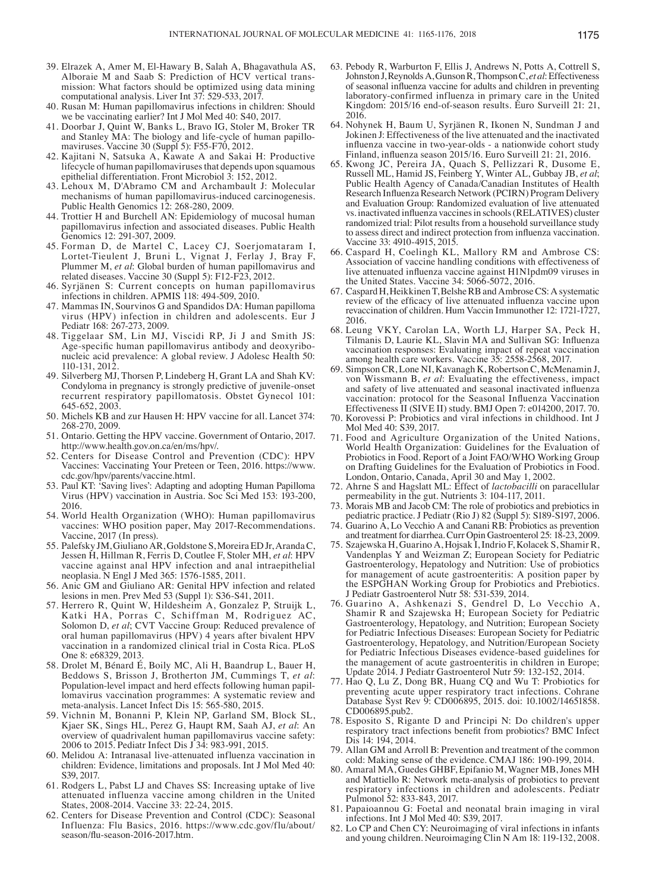- 39. Elrazek A, Amer M, El‑Hawary B, Salah A, Bhagavathula AS, Alboraie M and Saab S: Prediction of HCV vertical transmission: What factors should be optimized using data mining computational analysis. Liver Int 37: 529‑533, 2017.
- 40. Rusan M: Human papillomavirus infections in children: Should we be vaccinating earlier? Int J Mol Med 40: S40, 2017.
- 41. Doorbar J, Quint W, Banks L, Bravo IG, Stoler M, Broker TR and Stanley MA: The biology and life-cycle of human papillomaviruses. Vaccine 30 (Suppl 5): F55‑F70, 2012.
- 42. Kajitani N, Satsuka A, Kawate A and Sakai H: Productive lifecycle of human papillomaviruses that depends upon squamous epithelial differentiation. Front Microbiol 3: 152, 2012.
- 43. Lehoux M, D'Abramo CM and Archambault J: Molecular mechanisms of human papillomavirus‑induced carcinogenesis. Public Health Genomics 12: 268‑280, 2009.
- 44. Trottier H and Burchell AN: Epidemiology of mucosal human papillomavirus infection and associated diseases. Public Health Genomics 12: 291‑307, 2009.
- 45. Forman D, de Martel C, Lacey CJ, Soerjomataram I, Lortet-Tieulent J, Bruni L, Vignat J, Ferlay J, Bray F, Plummer M, *et al*: Global burden of human papillomavirus and related diseases. Vaccine 30 (Suppl 5): F12‑F23, 2012.
- 46. Syrjänen S: Current concepts on human papillomavirus infections in children. APMIS 118: 494‑509, 2010.
- 47. Mammas IN, Sourvinos G and Spandidos DA: Human papilloma virus (HPV) infection in children and adolescents. Eur J Pediatr 168: 267‑273, 2009.
- 48. Tiggelaar SM, Lin MJ, Viscidi RP, Ji J and Smith JS: Age‑specific human papillomavirus antibody and deoxyribonucleic acid prevalence: A global review. J Adolesc Health 50: 110‑131, 2012.
- 49. Silverberg MJ, Thorsen P, Lindeberg H, Grant LA and Shah KV: Condyloma in pregnancy is strongly predictive of juvenile-onset recurrent respiratory papillomatosis. Obstet Gynecol 101: 645‑652, 2003.
- 50. Michels KB and zur Hausen H: HPV vaccine for all. Lancet 374: 268‑270, 2009.
- 51. Ontario. Getting the HPV vaccine. Government of Ontario, 2017. http://www.health.gov.on.ca/en/ms/hpv/.
- 52. Centers for Disease Control and Prevention (CDC): HPV Vaccines: Vaccinating Your Preteen or Teen, 2016. https://www. cdc.gov/hpv/parents/vaccine.html.
- 53. Paul KT: 'Saving lives': Adapting and adopting Human Papilloma Virus (HPV) vaccination in Austria. Soc Sci Med 153: 193‑200, 2016.
- 54. World Health Organization (WHO): Human papillomavirus vaccines: WHO position paper, May 2017‑Recommendations. Vaccine, 2017 (In press).
- 55. Palefsky JM, Giuliano AR, Goldstone S, MoreiraED Jr, Aranda C, Jessen H, Hillman R, Ferris D, Coutlee F, Stoler MH, *et al*: HPV vaccine against anal HPV infection and anal intraepithelial neoplasia. N Engl J Med 365: 1576‑1585, 2011.
- 56. Anic GM and Giuliano AR: Genital HPV infection and related lesions in men. Prev Med 53 (Suppl 1): S36‑S41, 2011.
- 57. Herrero R, Quint W, Hildesheim A, Gonzalez P, Struijk L, Katki HA, Porras C, Schiffman M, Rodriguez AC, Solomon D, *et al*; CVT Vaccine Group: Reduced prevalence of oral human papillomavirus (HPV) 4 years after bivalent HPV vaccination in a randomized clinical trial in Costa Rica. PLoS One 8: e68329, 2013.
- 58. Drolet M, Bénard É, Boily MC, Ali H, Baandrup L, Bauer H, Beddows S, Brisson J, Brotherton JM, Cummings T, *et al*: Population-level impact and herd effects following human papillomavirus vaccination programmes: A systematic review and meta‑analysis. Lancet Infect Dis 15: 565‑580, 2015.
- 59. Vichnin M, Bonanni P, Klein NP, Garland SM, Block SL, Kjaer SK, Sings HL, Perez G, Haupt RM, Saah AJ, *et al*: An overview of quadrivalent human papillomavirus vaccine safety: 2006 to 2015. Pediatr Infect Dis J 34: 983‑991, 2015.
- 60. Melidou A: Intranasal live‑attenuated influenza vaccination in children: Evidence, limitations and proposals. Int J Mol Med 40: S39, 2017.
- 61. Rodgers L, Pabst LJ and Chaves SS: Increasing uptake of live attenuated influenza vaccine among children in the United States, 2008‑2014. Vaccine 33: 22‑24, 2015.
- 62. Centers for Disease Prevention and Control (CDC): Seasonal Influenza: Flu Basics, 2016. https://www.cdc.gov/flu/about/ season/flu-season-2016-2017.htm.
- 63. Pebody R, Warburton F, Ellis J, Andrews N, Potts A, Cottrell S, Johnston J, Reynolds A, Gunson R, Thompson C, *et al*: Effectiveness of seasonal influenza vaccine for adults and children in preventing laboratory‑confirmed influenza in primary care in the United Kingdom: 2015/16 end-of-season results. Euro Surveill 21: 21, 2016.
- 64. Nohynek H, Baum U, Syrjänen R, Ikonen N, Sundman J and Jokinen J: Effectiveness of the live attenuated and the inactivated influenza vaccine in two‑year‑olds ‑ a nationwide cohort study Finland, influenza season 2015/16. Euro Surveill 21: 21, 2016.
- 65. Kwong JC, Pereira JA, Quach S, Pellizzari R, Dusome E, Russell ML, Hamid JS, Feinberg Y, Winter AL, Gubbay JB, *et al*; Public Health Agency of Canada/Canadian Institutes of Health Research Influenza Research Network (PCIRN) Program Delivery and Evaluation Group: Randomized evaluation of live attenuated vs. inactivated influenza vaccines in schools (RELATIVES) cluster randomized trial: Pilot results from a household surveillance study to assess direct and indirect protection from influenza vaccination. Vaccine 33: 4910‑4915, 2015.
- 66. Caspard H, Coelingh KL, Mallory RM and Ambrose CS: Association of vaccine handling conditions with effectiveness of live attenuated influenza vaccine against H1N1pdm09 viruses in the United States. Vaccine 34: 5066‑5072, 2016.
- 67. Caspard H, Heikkinen T, Belshe RB and AmbroseCS: A systematic review of the efficacy of live attenuated influenza vaccine upon revaccination of children. Hum Vaccin Immunother 12: 1721-1727, 2016.
- 68. Leung VKY, Carolan LA, Worth LJ, Harper SA, Peck H, Tilmanis D, Laurie KL, Slavin MA and Sullivan SG: Influenza vaccination responses: Evaluating impact of repeat vaccination among health care workers. Vaccine 35: 2558‑2568, 2017.
- 69. Simpson CR, Lone NI, Kavanagh K, Robertson C, McMenamin J, von Wissmann B, *et al*: Evaluating the effectiveness, impact and safety of live attenuated and seasonal inactivated influenza vaccination: protocol for the Seasonal Influenza Vaccination Effectiveness II (SIVE II) study. BMJ Open 7: e014200, 2017. 70.
- 70. Korovessi P: Probiotics and viral infections in childhood. Int J Mol Med 40: S39, 2017.
- 71. Food and Agriculture Organization of the United Nations, World Health Organization: Guidelines for the Evaluation of Probiotics in Food. Report of a Joint FAO/WHO Working Group on Drafting Guidelines for the Evaluation of Probiotics in Food. London, Ontario, Canada, April 30 and May 1, 2002.
- 72. Ahrne S and Hagslatt ML: Effect of *lactobacilli* on paracellular permeability in the gut. Nutrients 3: 104‑117, 2011.
- 73. Morais MB and Jacob CM: The role of probiotics and prebiotics in pediatric practice. J Pediatr (Rio J) 82 (Suppl 5): S189‑S197, 2006.
- 74. Guarino A, Lo Vecchio A and Canani RB: Probiotics as prevention and treatment for diarrhea. Curr Opin Gastroenterol 25: 18‑23, 2009.
- 75. Szajewska H, Guarino A, Hojsak I, Indrio F, Kolacek S, Shamir R, Vandenplas Y and Weizman Z; European Society for Pediatric Gastroenterology, Hepatology and Nutrition: Use of probiotics for management of acute gastroenteritis: A position paper by the ESPGHAN Working Group for Probiotics and Prebiotics. J Pediatr Gastroenterol Nutr 58: 531‑539, 2014.
- 76. Guarino A, Ashkenazi S, Gendrel D, Lo Vecchio A, Shamir R and Szajewska H; European Society for Pediatric Gastroenterology, Hepatology, and Nutrition; European Society for Pediatric Infectious Diseases: European Society for Pediatric Gastroenterology, Hepatology, and Nutrition/European Society for Pediatric Infectious Diseases evidence-based guidelines for the management of acute gastroenteritis in children in Europe; Update 2014. J Pediatr Gastroenterol Nutr 59: 132‑152, 2014.
- 77. Hao Q, Lu Z, Dong BR, Huang CQ and Wu T: Probiotics for preventing acute upper respiratory tract infections. Cohrane Database Syst Rev 9: CD006895, 2015. doi: 10.1002/14651858. CD006895.pub2.
- 78. Esposito S, Rigante D and Principi N: Do children's upper respiratory tract infections benefit from probiotics? BMC Infect Dis 14: 194, 2014.
- 79. Allan GM and Arroll B: Prevention and treatment of the common cold: Making sense of the evidence. CMAJ 186: 190-199, 2014
- 80. Amaral MA, Guedes GHBF, Epifanio M, Wagner MB, Jones MH and Mattiello R: Network meta-analysis of probiotics to prevent respiratory infections in children and adolescents. Pediatr Pulmonol 52: 833‑843, 2017.
- 81. Papaioannou G: Foetal and neonatal brain imaging in viral infections. Int J Mol Med 40: S39, 2017.
- 82. Lo CP and Chen CY: Neuroimaging of viral infections in infants and young children. Neuroimaging Clin N Am 18: 119‑132, 2008.